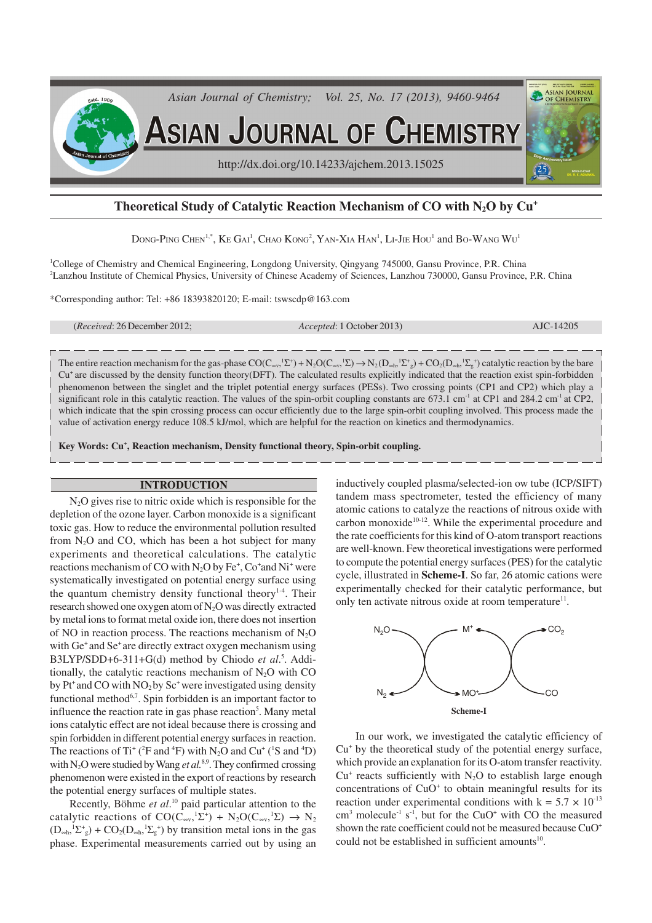

# **Theoretical Study of Catalytic Reaction Mechanism of CO with N2O by Cu<sup>+</sup>**

DONG-PING CHEN<sup>1,\*</sup>, KE GAI<sup>1</sup>, CHAO KONG<sup>2</sup>, YAN-XIA HAN<sup>1</sup>, LI-JIE HOU<sup>1</sup> and BO-WANG WU<sup>1</sup>

<sup>1</sup>College of Chemistry and Chemical Engineering, Longdong University, Qingyang 745000, Gansu Province, P.R. China <sup>2</sup>Lanzhou Institute of Chemical Physics, University of Chinese Academy of Sciences, Lanzhou 730000, Gansu Province, P.R. China

\*Corresponding author: Tel: +86 18393820120; E-mail: tswscdp@163.com

(*Received*: 26 December 2012; *Accepted*: 1 October 2013) AJC-14205

The entire reaction mechanism for the gas-phase  $CO(C_{\text{ev}_y}^{\dagger} \Sigma^+) + N_2 O(C_{\text{ev}_y}^{\dagger} \Sigma^-) \rightarrow N_2 (D_{\text{sch}_1}^{\dagger} \Sigma^+_g) + CO_2 (D_{\text{sch}_2}^{\dagger} \Sigma^-_g)$  catalytic reaction by the bare  $Cu<sup>+</sup>$  are discussed by the density function theory(DFT). The calculated results explicitly indicated that the reaction exist spin-forbidden phenomenon between the singlet and the triplet potential energy surfaces (PESs). Two crossing points (CP1 and CP2) which play a significant role in this catalytic reaction. The values of the spin-orbit coupling constants are  $673.1 \text{ cm}^3$  at CP1 and  $284.2 \text{ cm}^3$  at CP2, which indicate that the spin crossing process can occur efficiently due to the large spin-orbit coupling involved. This process made the value of activation energy reduce 108.5 kJ/mol, which are helpful for the reaction on kinetics and thermodynamics.

**Key Words: Cu<sup>+</sup> , Reaction mechanism, Density functional theory, Spin-orbit coupling.**

## **INTRODUCTION**

N<sub>2</sub>O gives rise to nitric oxide which is responsible for the depletion of the ozone layer. Carbon monoxide is a significant toxic gas. How to reduce the environmental pollution resulted from  $N_2O$  and CO, which has been a hot subject for many experiments and theoretical calculations. The catalytic reactions mechanism of CO with  $N_2O$  by Fe<sup>+</sup>, Co<sup>+</sup>and Ni<sup>+</sup> were systematically investigated on potential energy surface using the quantum chemistry density functional theory<sup>1-4</sup>. Their research showed one oxygen atom of N<sub>2</sub>O was directly extracted by metal ions to format metal oxide ion, there does not insertion of NO in reaction process. The reactions mechanism of  $N<sub>2</sub>O$ with Ge<sup>+</sup> and Se<sup>+</sup> are directly extract oxygen mechanism using B3LYP/SDD+6-311+G(d) method by Chiodo et al.<sup>5</sup>. Additionally, the catalytic reactions mechanism of  $N_2O$  with CO by  $Pt^+$  and CO with  $NO_2$  by  $Sc^+$  were investigated using density functional method $6,7$ . Spin forbidden is an important factor to influence the reaction rate in gas phase reaction<sup>5</sup>. Many metal ions catalytic effect are not ideal because there is crossing and spin forbidden in different potential energy surfaces in reaction. The reactions of Ti<sup>+</sup> (<sup>2</sup>F and <sup>4</sup>F) with N<sub>2</sub>O and Cu<sup>+</sup> (<sup>1</sup>S and <sup>4</sup>D) with N<sub>2</sub>O were studied by Wang et al.<sup>8,9</sup>. They confirmed crossing phenomenon were existed in the export of reactions by research the potential energy surfaces of multiple states.

Recently, Böhme *et al*. <sup>10</sup> paid particular attention to the catalytic reactions of  $CO(C_{\infty y}, {}^{1}\Sigma^{+}) + N_{2}O(C_{\infty y}, {}^{1}\Sigma) \rightarrow N_{2}$  $(D_{\infty h}, \Sigma_{g}^{+})$  +  $CO_2(D_{\infty h}, \Sigma_{g}^{+})$  by transition metal ions in the gas phase. Experimental measurements carried out by using an

inductively coupled plasma/selected-ion ow tube (ICP/SIFT) tandem mass spectrometer, tested the efficiency of many atomic cations to catalyze the reactions of nitrous oxide with carbon monoxide<sup>10-12</sup>. While the experimental procedure and the rate coefficients for this kind of O-atom transport reactions are well-known. Few theoretical investigations were performed to compute the potential energy surfaces (PES) for the catalytic cycle, illustrated in **Scheme-I**. So far, 26 atomic cations were experimentally checked for their catalytic performance, but only ten activate nitrous oxide at room temperature<sup>11</sup>.



In our work, we investigated the catalytic efficiency of Cu<sup>+</sup> by the theoretical study of the potential energy surface, which provide an explanation for its O-atom transfer reactivity.  $Cu<sup>+</sup>$  reacts sufficiently with N<sub>2</sub>O to establish large enough concentrations of CuO<sup>+</sup> to obtain meaningful results for its reaction under experimental conditions with  $k = 5.7 \times 10^{-13}$  $\text{cm}^3$  molecule<sup>-1</sup> s<sup>-1</sup>, but for the CuO<sup>+</sup> with CO the measured shown the rate coefficient could not be measured because  $CuO<sup>+</sup>$ could not be established in sufficient amounts<sup>10</sup>.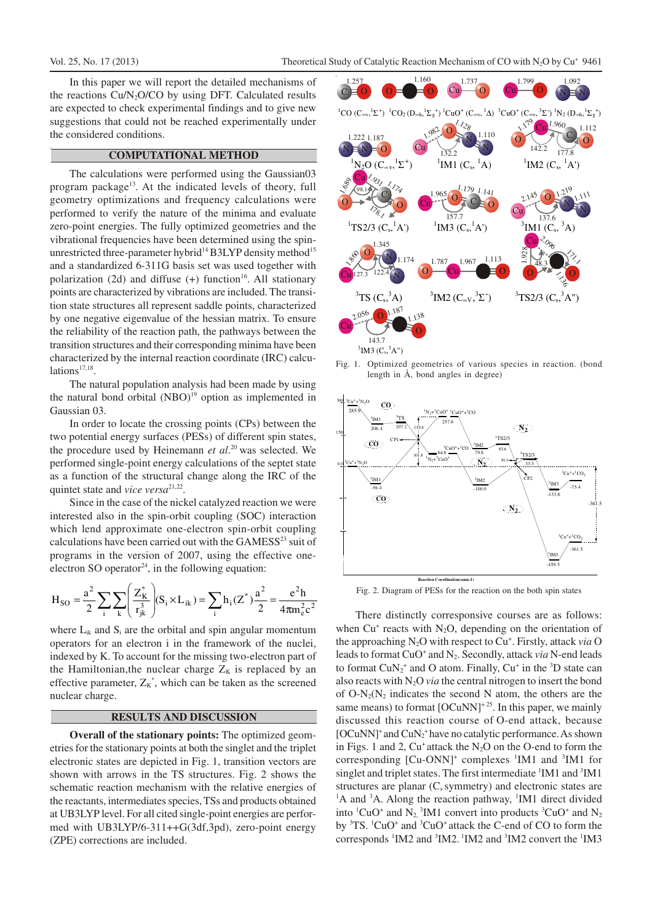In this paper we will report the detailed mechanisms of the reactions  $Cu/N<sub>2</sub>O/CO$  by using DFT. Calculated results are expected to check experimental findings and to give new suggestions that could not be reached experimentally under the considered conditions.

## **COMPUTATIONAL METHOD**

The calculations were performed using the Gaussian03 program package<sup>13</sup>. At the indicated levels of theory, full geometry optimizations and frequency calculations were performed to verify the nature of the minima and evaluate zero-point energies. The fully optimized geometries and the vibrational frequencies have been determined using the spinunrestricted three-parameter hybrid<sup>14</sup> B3LYP density method<sup>15</sup> and a standardized 6-311G basis set was used together with polarization  $(2d)$  and diffuse  $(+)$  function<sup>16</sup>. All stationary points are characterized by vibrations are included. The transition state structures all represent saddle points, characterized by one negative eigenvalue of the hessian matrix. To ensure the reliability of the reaction path, the pathways between the transition structures and their corresponding minima have been characterized by the internal reaction coordinate (IRC) calcu $lations<sup>17,18</sup>$ .

The natural population analysis had been made by using the natural bond orbital  $(NBO)^{19}$  option as implemented in Gaussian 03.

In order to locate the crossing points (CPs) between the two potential energy surfaces (PESs) of different spin states, the procedure used by Heinemann *et al.*<sup>20</sup> was selected. We performed single-point energy calculations of the septet state as a function of the structural change along the IRC of the quintet state and *vice versa*<sup>21,22</sup>.

Since in the case of the nickel catalyzed reaction we were interested also in the spin-orbit coupling (SOC) interaction which lend approximate one-electron spin-orbit coupling calculations have been carried out with the GAMESS<sup>23</sup> suit of programs in the version of 2007, using the effective oneelectron SO operator $24$ , in the following equation:

$$
H_{SO} = \frac{a^2}{2} \sum_{i} \sum_{k} \left( \frac{Z_K^*}{r_{jk}^3} \right) (S_i \times L_{ik}) = \sum_{i} h_i (Z^*) \frac{a^2}{2} = \frac{e^2 h}{4 \pi m_e^2 c^2}
$$

where  $L_{ik}$  and  $S_i$  are the orbital and spin angular momentum operators for an electron i in the framework of the nuclei, indexed by K. To account for the missing two-electron part of the Hamiltonian, the nuclear charge  $Z_K$  is replaced by an effective parameter,  $Z_K^*$ , which can be taken as the screened nuclear charge.

## **RESULTS AND DISCUSSION**

**Overall of the stationary points:** The optimized geometries for the stationary points at both the singlet and the triplet electronic states are depicted in Fig. 1, transition vectors are shown with arrows in the TS structures. Fig. 2 shows the schematic reaction mechanism with the relative energies of the reactants, intermediates species,TSs and products obtained at UB3LYP level. For all cited single-point energies are performed with UB3LYP/6-311++G(3df,3pd), zero-point energy (ZPE) corrections are included.



Fig. 1. Optimized geometries of various species in reaction. (bond length in Å, bond angles in degree)



Fig. 2. Diagram of PESs for the reaction on the both spin states

There distinctly corresponsive courses are as follows: when  $Cu^{+}$  reacts with  $N_{2}O$ , depending on the orientation of the approaching N<sub>2</sub>O with respect to Cu<sup>+</sup>. Firstly, attack *via* O leads to format CuO<sup>+</sup> and N<sub>2</sub>. Secondly, attack *via* N-end leads to format  $CuN_2^+$  and O atom. Finally,  $Cu^+$  in the <sup>3</sup>D state can also reacts with  $N_2O$  *via* the central nitrogen to insert the bond of  $O-N_2(N_2)$  indicates the second N atom, the others are the same means) to format  $[OCuNN]$ <sup>+25</sup>. In this paper, we mainly discussed this reaction course of O-end attack, because [OCuNN]<sup>+</sup> and CuN<sub>2</sub><sup>+</sup> have no catalytic performance. As shown in Figs. 1 and 2,  $Cu^+$  attack the N<sub>2</sub>O on the O-end to form the corresponding  $[Cu-ONN]^+$  complexes  ${}^1$ IM1 and  ${}^3$ IM1 for singlet and triplet states. The first intermediate <sup>1</sup>IM1 and <sup>3</sup>IM1 structures are planar  $(C_s$  symmetry) and electronic states are  ${}^{1}$ A and  ${}^{3}$ A. Along the reaction pathway,  ${}^{1}$ IM1 direct divided into  ${}^{1}CuO^{+}$  and N<sub>2</sub>,  ${}^{3}$ IM1 convert into products  ${}^{3}CuO^{+}$  and N<sub>2</sub> by <sup>3</sup>TS. <sup>1</sup>CuO<sup>+</sup> and <sup>3</sup>CuO<sup>+</sup> attack the C-end of CO to form the corresponds <sup>1</sup>IM2 and <sup>3</sup>IM2. <sup>1</sup>IM2 and <sup>3</sup>IM2 convert the <sup>1</sup>IM3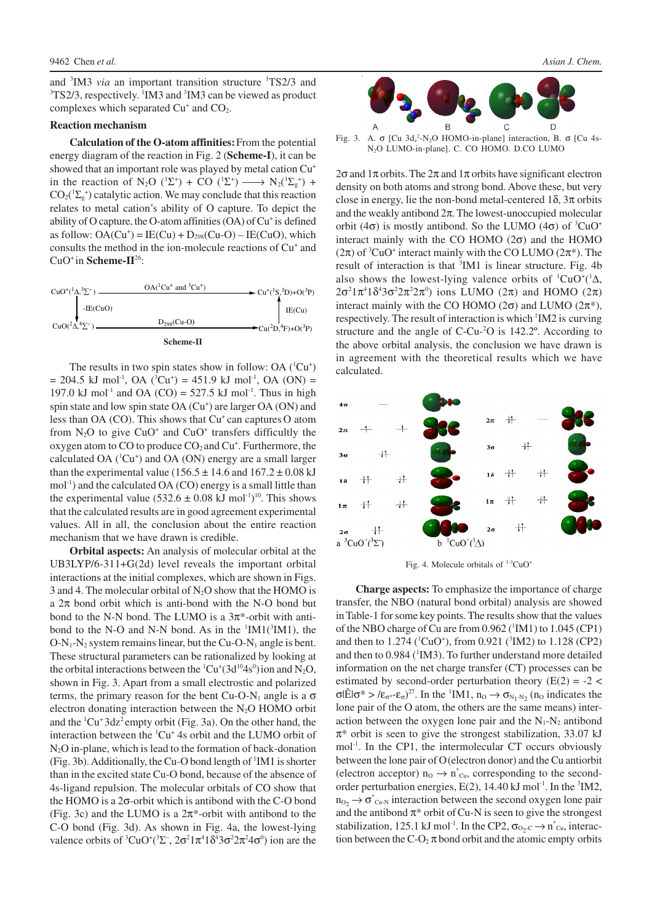and <sup>3</sup>IM3 *via* an important transition structure <sup>1</sup>TS2/3 and <sup>3</sup>TS2/3, respectively. <sup>1</sup>IM3 and <sup>3</sup>IM3 can be viewed as product complexes which separated  $Cu<sup>+</sup>$  and  $CO<sub>2</sub>$ .

#### **Reaction mechanism**

**Calculation of the O-atom affinities:**From the potential energy diagram of the reaction in Fig. 2 (**Scheme-I**), it can be showed that an important role was played by metal cation  $Cu<sup>+</sup>$ in the reaction of N<sub>2</sub>O (<sup>1</sup>Σ<sup>+</sup>) + CO (<sup>1</sup>Σ<sup>+</sup>) — N<sub>2</sub>(<sup>1</sup>Σ<sub>g</sub><sup>+</sup>) +  $CO_2(^1\Sigma_g^+)$  catalytic action. We may conclude that this reaction relates to metal cation's ability of O capture. To depict the ability of O capture, the O-atom affinities (OA) of Cu<sup>+</sup> is defined as follow:  $OA(Cu^+) = IE(Cu) + D_{298}(Cu-O) - IE(CuO)$ , which consults the method in the ion-molecule reactions of Cu<sup>+</sup> and CuO<sup>+</sup>in **Scheme-II**<sup>26</sup>:



The results in two spin states show in follow: OA  $(^1Cu^+)$  $= 204.5$  kJ mol<sup>-1</sup>, OA (<sup>3</sup>Cu<sup>+</sup>) = 451.9 kJ mol<sup>-1</sup>, OA (ON) = 197.0 kJ mol<sup>-1</sup> and OA (CO) = 527.5 kJ mol<sup>-1</sup>. Thus in high spin state and low spin state OA (Cu<sup>+</sup>) are larger OA (ON) and less than OA (CO). This shows that  $Cu<sup>+</sup>$  can captures O atom from  $N_2O$  to give  $CuO^+$  and  $CuO^+$  transfers difficultly the oxygen atom to  $CO$  to produce  $CO<sub>2</sub>$  and  $Cu<sup>+</sup>$ . Furthermore, the calculated OA  $(^1Cu^+)$  and OA (ON) energy are a small larger than the experimental value ( $156.5 \pm 14.6$  and  $167.2 \pm 0.08$  kJ  $mol<sup>-1</sup>$ ) and the calculated OA (CO) energy is a small little than the experimental value  $(532.6 \pm 0.08 \text{ kJ mol}^{-1})^{10}$ . This shows that the calculated results are in good agreement experimental values. All in all, the conclusion about the entire reaction mechanism that we have drawn is credible.

**Orbital aspects:** An analysis of molecular orbital at the UB3LYP/6-311+G(2d) level reveals the important orbital interactions at the initial complexes, which are shown in Figs. 3 and 4. The molecular orbital of  $N_2O$  show that the HOMO is a  $2\pi$  bond orbit which is anti-bond with the N-O bond but bond to the N-N bond. The LUMO is a  $3\pi$ \*-orbit with antibond to the N-O and N-N bond. As in the  $\rm{^{1}IM1(^{3}IM1)}$ , the  $O-N_1-N_2$  system remains linear, but the Cu-O-N<sub>1</sub> angle is bent. These structural parameters can be rationalized by looking at the orbital interactions between the  ${}^{1}Cu^{+}(3d^{10}4s^{0})$  ion and N<sub>2</sub>O, shown in Fig. 3. Apart from a small electrostic and polarized terms, the primary reason for the bent Cu-O-N<sub>1</sub> angle is a  $\sigma$ electron donating interaction between the  $N_2O$  HOMO orbit and the  ${}^{1}Cu+3dz^{2}$  empty orbit (Fig. 3a). On the other hand, the interaction between the  ${}^{1}Cu^{+}$  4s orbit and the LUMO orbit of N2O in-plane, which is lead to the formation of back-donation (Fig. 3b). Additionally, the Cu-O bond length of  ${}^{1}$ IM1 is shorter than in the excited state Cu-O bond, because of the absence of 4s-ligand repulsion. The molecular orbitals of CO show that the HOMO is a 2σ-orbit which is antibond with the C-O bond (Fig. 3c) and the LUMO is a  $2\pi$ \*-orbit with antibond to the C-O bond (Fig. 3d). As shown in Fig. 4a, the lowest-lying valence orbits of  ${}^3CuO^+({}^3\Sigma^-, 2\sigma^21\pi^41\delta^43\sigma^22\pi^24\sigma^0)$  ion are the



Fig. 3. A. σ [Cu 3d<sub>z</sub><sup>2</sup>-N<sub>2</sub>O HOMO-in-plane] interaction, B. σ [Cu 4s-N2O LUMO-in-plane]. C. CO HOMO. D.CO LUMO

2σ and  $1\pi$  orbits. The  $2\pi$  and  $1\pi$  orbits have significant electron density on both atoms and strong bond. Above these, but very close in energy, lie the non-bond metal-centered  $1\delta$ ,  $3\pi$  orbits and the weakly antibond  $2\pi$ . The lowest-unoccupied molecular orbit (4 $\sigma$ ) is mostly antibond. So the LUMO (4 $\sigma$ ) of <sup>3</sup>CuO<sup>+</sup> interact mainly with the CO HOMO  $(2\sigma)$  and the HOMO  $(2\pi)$  of <sup>3</sup>CuO<sup>+</sup> interact mainly with the CO LUMO  $(2\pi^*)$ . The result of interaction is that <sup>3</sup>IM1 is linear structure. Fig. 4b also shows the lowest-lying valence orbits of  ${}^{1}CuO^{+}({}^{1}\Delta,$  $2\sigma^2 1\pi^4 1\delta^4 3\sigma^2 2\pi^2 2\pi^0$  ions LUMO (2π) and HOMO (2π) interact mainly with the CO HOMO ( $2\sigma$ ) and LUMO ( $2\pi$ <sup>\*</sup>), respectively. The result of interaction is which <sup>1</sup>IM2 is curving structure and the angle of C-Cu-<sup>2</sup>O is 142.2º. According to the above orbital analysis, the conclusion we have drawn is in agreement with the theoretical results which we have calculated.



Fig. 4. Molecule orbitals of <sup>1-3</sup>CuO<sup>+</sup>

**Charge aspects:** To emphasize the importance of charge transfer, the NBO (natural bond orbital) analysis are showed in Table-1 for some key points. The results show that the values of the NBO charge of Cu are from 0.962 (<sup>1</sup>IM1) to 1.045 (CP1) and then to  $1.274$  (<sup>1</sup>CuO<sup>+</sup>), from 0.921 (<sup>3</sup>IM2) to  $1.128$  (CP2) and then to  $0.984$  ( ${}^{1}$ IM3). To further understand more detailed information on the net charge transfer (CT) processes can be estimated by second-order perturbation theory ( $E(2) = -2 <$ σlÊlσ\* > /ε<sub>σ\*</sub>-ε<sub>σ</sub>)<sup>27</sup>. In the <sup>1</sup>IM1, n<sub>o</sub>  $\rightarrow$  σ<sub>N<sub>1</sub>-N<sub>2</sub> (n<sub>o</sub> indicates the</sub> lone pair of the O atom, the others are the same means) interaction between the oxygen lone pair and the  $N_1-N_2$  antibond  $\pi^*$  orbit is seen to give the strongest stabilization, 33.07 kJ mol<sup>-1</sup>. In the CP1, the intermolecular CT occurs obviously between the lone pair of O(electron donor) and the Cu antiorbit (electron acceptor)  $n_0 \rightarrow n^*_{Cu}$ , corresponding to the secondorder perturbation energies,  $E(2)$ , 14.40 kJ mol<sup>-1</sup>. In the  ${}^{3}$ IM2,  $n_{O_2} \rightarrow \sigma^*_{Cu-N}$  interaction between the second oxygen lone pair and the antibond  $\pi^*$  orbit of Cu-N is seen to give the strongest stabilization, 125.1 kJ mol<sup>-1</sup>. In the CP2,  $\sigma_{O_2 C} \rightarrow n^*_{Cu}$ , interaction between the  $C$ -O<sub>2</sub>  $\pi$  bond orbit and the atomic empty orbits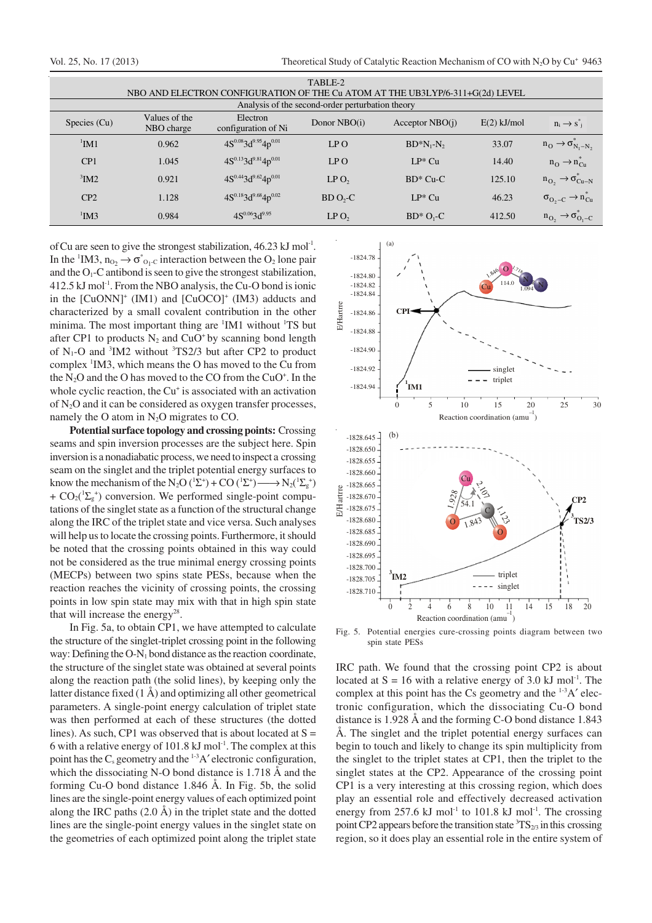Vol. 25, No. 17 (2013) Theoretical Study of Catalytic Reaction Mechanism of CO with N<sub>2</sub>O by Cu<sup>+</sup> 9463

| TABLE-2<br>NBO AND ELECTRON CONFIGURATION OF THE Cu ATOM AT THE UB3LYP/6-311+G(2d) LEVEL |                             |                                 |                  |                   |               |                                                   |
|------------------------------------------------------------------------------------------|-----------------------------|---------------------------------|------------------|-------------------|---------------|---------------------------------------------------|
| Analysis of the second-order perturbation theory                                         |                             |                                 |                  |                   |               |                                                   |
| Species (Cu)                                                                             | Values of the<br>NBO charge | Electron<br>configuration of Ni | Donor NBO(i)     | Acceptor $NBO(i)$ | $E(2)$ kJ/mol | $n_i \rightarrow s_{i}$                           |
| $1$ IM1                                                                                  | 0.962                       | $4S^{0.08}3d^{9.95}4p^{0.01}$   | LP O             | $BD^*N_1-N_2$     | 33.07         | $n_{\rm O} \rightarrow \sigma_{N_1-N_2}$          |
| CP1                                                                                      | 1.045                       | $4S^{0.13}3d^{9.81}4p^{0.01}$   | LP O             | $LP^*$ Cu         | 14.40         | $n_{\Omega} \rightarrow n_{\Omega}$               |
| $3$ IM2                                                                                  | 0.921                       | $4S^{0.44}3d^{9.62}4p^{0.01}$   | LPO <sub>2</sub> | $BD^*$ Cu-C       | 125.10        | $n_{O_2} \rightarrow \sigma_{Cu-N}$               |
| CP2                                                                                      | 1.128                       | $4S^{0.18}3d^{9.68}4p^{0.02}$   | $BD O2-C$        | $LP^*$ Cu         | 46.23         | $\sigma_{\text{O}_2-C} \rightarrow n_{\text{Cu}}$ |
| $\mathrm{^{1}IM3}$                                                                       | 0.984                       | $4S^{0.06}3d^{9.95}$            | LPO <sub>2</sub> | $BD^*O_1-C$       | 412.50        | $n_{O_2} \rightarrow \sigma_{O_1-C}$              |

of Cu are seen to give the strongest stabilization, 46.23 kJ mol<sup>-1</sup>. In the <sup>1</sup>IM3,  $n_{O_2} \rightarrow \sigma_{O_1 \cdot C}^*$  interaction between the  $O_2$  lone pair and the  $O_1$ -C antibond is seen to give the strongest stabilization,  $412.5$  kJ mol<sup>-1</sup>. From the NBO analysis, the Cu-O bond is ionic in the  $[CuONN]^+$   $(IM1)$  and  $[CuOCO]^+$   $(IM3)$  adducts and characterized by a small covalent contribution in the other minima. The most important thing are <sup>1</sup>IM1 without <sup>1</sup>TS but after CP1 to products  $N_2$  and CuO<sup>+</sup> by scanning bond length of  $N_1$ -O and  ${}^3$ IM2 without  ${}^3$ TS2/3 but after CP2 to product complex <sup>1</sup>IM3, which means the O has moved to the Cu from the  $N_2O$  and the O has moved to the CO from the CuO<sup>+</sup>. In the whole cyclic reaction, the Cu<sup>+</sup> is associated with an activation of N2O and it can be considered as oxygen transfer processes, namely the O atom in  $N_2O$  migrates to CO.

**Potential surface topology and crossing points:** Crossing seams and spin inversion processes are the subject here. Spin inversion is a nonadiabatic process, we need to inspect a crossing seam on the singlet and the triplet potential energy surfaces to know the mechanism of the N<sub>2</sub>O ( ${}^{1}\Sigma^{+}$ ) + CO ( ${}^{1}\Sigma^{+}$ )  $\longrightarrow$  N<sub>2</sub>( ${}^{1}\Sigma^{+}$ ) +  $CO_2(^1\Sigma_g^+)$  conversion. We performed single-point computations of the singlet state as a function of the structural change along the IRC of the triplet state and vice versa. Such analyses will help us to locate the crossing points. Furthermore, it should be noted that the crossing points obtained in this way could not be considered as the true minimal energy crossing points (MECPs) between two spins state PESs, because when the reaction reaches the vicinity of crossing points, the crossing points in low spin state may mix with that in high spin state that will increase the energy<sup>28</sup>.

In Fig. 5a, to obtain CP1, we have attempted to calculate the structure of the singlet-triplet crossing point in the following way: Defining the  $O-N_1$  bond distance as the reaction coordinate, the structure of the singlet state was obtained at several points along the reaction path (the solid lines), by keeping only the latter distance fixed  $(1 \text{ Å})$  and optimizing all other geometrical parameters. A single-point energy calculation of triplet state was then performed at each of these structures (the dotted lines). As such, CP1 was observed that is about located at  $S =$ 6 with a relative energy of 101.8  $kJ$  mol<sup>-1</sup>. The complex at this point has the  $C_s$  geometry and the  $^{1-3}A'$  electronic configuration, which the dissociating N-O bond distance is 1.718 Å and the forming Cu-O bond distance 1.846 Å. In Fig. 5b, the solid lines are the single-point energy values of each optimized point along the IRC paths  $(2.0 \text{ Å})$  in the triplet state and the dotted lines are the single-point energy values in the singlet state on the geometries of each optimized point along the triplet state



Fig. 5. Potential energies cure-crossing points diagram between two spin state PESs

IRC path. We found that the crossing point CP2 is about located at  $S = 16$  with a relative energy of 3.0 kJ mol<sup>-1</sup>. The complex at this point has the Cs geometry and the  $1-3A'$  electronic configuration, which the dissociating Cu-O bond distance is 1.928 Å and the forming C-O bond distance 1.843 Å. The singlet and the triplet potential energy surfaces can begin to touch and likely to change its spin multiplicity from the singlet to the triplet states at CP1, then the triplet to the singlet states at the CP2. Appearance of the crossing point CP1 is a very interesting at this crossing region, which does play an essential role and effectively decreased activation energy from 257.6 kJ mol<sup>-1</sup> to 101.8 kJ mol<sup>-1</sup>. The crossing point CP2 appears before the transition state  ${}^{3}TS_{2/3}$  in this crossing region, so it does play an essential role in the entire system of